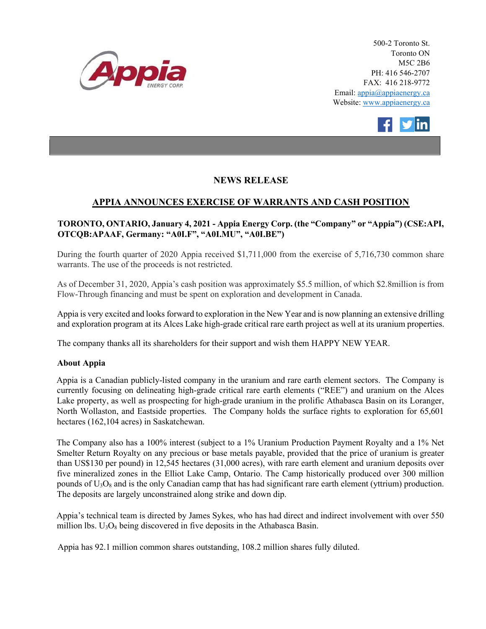



## NEWS RELEASE

## APPIA ANNOUNCES EXERCISE OF WARRANTS AND CASH POSITION

## TORONTO, ONTARIO, January 4, 2021 - Appia Energy Corp. (the "Company" or "Appia") (CSE:API, OTCQB:APAAF, Germany: "A0I.F", "A0I.MU", "A0I.BE")

During the fourth quarter of 2020 Appia received \$1,711,000 from the exercise of 5,716,730 common share warrants. The use of the proceeds is not restricted.

As of December 31, 2020, Appia's cash position was approximately \$5.5 million, of which \$2.8million is from Flow-Through financing and must be spent on exploration and development in Canada.

Appia is very excited and looks forward to exploration in the New Year and is now planning an extensive drilling and exploration program at its Alces Lake high-grade critical rare earth project as well at its uranium properties.

The company thanks all its shareholders for their support and wish them HAPPY NEW YEAR.

## About Appia

Appia is a Canadian publicly-listed company in the uranium and rare earth element sectors. The Company is currently focusing on delineating high-grade critical rare earth elements ("REE") and uranium on the Alces Lake property, as well as prospecting for high-grade uranium in the prolific Athabasca Basin on its Loranger, North Wollaston, and Eastside properties. The Company holds the surface rights to exploration for 65,601 hectares (162,104 acres) in Saskatchewan.

The Company also has a 100% interest (subject to a 1% Uranium Production Payment Royalty and a 1% Net Smelter Return Royalty on any precious or base metals payable, provided that the price of uranium is greater than US\$130 per pound) in 12,545 hectares (31,000 acres), with rare earth element and uranium deposits over five mineralized zones in the Elliot Lake Camp, Ontario. The Camp historically produced over 300 million pounds of  $U_3O_8$  and is the only Canadian camp that has had significant rare earth element (yttrium) production. The deposits are largely unconstrained along strike and down dip.

Appia's technical team is directed by James Sykes, who has had direct and indirect involvement with over 550 million lbs.  $U_3O_8$  being discovered in five deposits in the Athabasca Basin.

Appia has 92.1 million common shares outstanding, 108.2 million shares fully diluted.